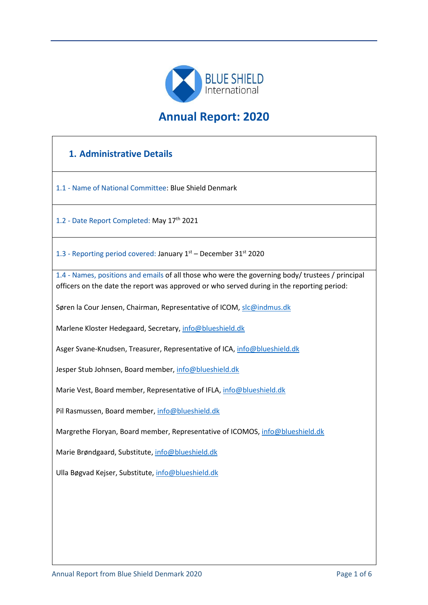

# **Annual Report: 2020**

# **1. Administrative Details**

1.1 - Name of National Committee: Blue Shield Denmark

1.2 - Date Report Completed: May 17<sup>th</sup> 2021

1.3 - Reporting period covered: January 1<sup>st</sup> – December 31<sup>st</sup> 2020

1.4 - Names, positions and emails of all those who were the governing body/ trustees / principal officers on the date the report was approved or who served during in the reporting period:

Søren la Cour Jensen, Chairman, Representative of ICOM, slc@indmus.dk

Marlene Kloster Hedegaard, Secretary, info@blueshield.dk

Asger Svane-Knudsen, Treasurer, Representative of ICA, info@blueshield.dk

Jesper Stub Johnsen, Board member, info@blueshield.dk

Marie Vest, Board member, Representative of IFLA, info@blueshield.dk

Pil Rasmussen, Board member, info@blueshield.dk

Margrethe Floryan, Board member, Representative of ICOMOS, info@blueshield.dk

Marie Brøndgaard, Substitute, info@blueshield.dk

Ulla Bøgvad Kejser, Substitute, info@blueshield.dk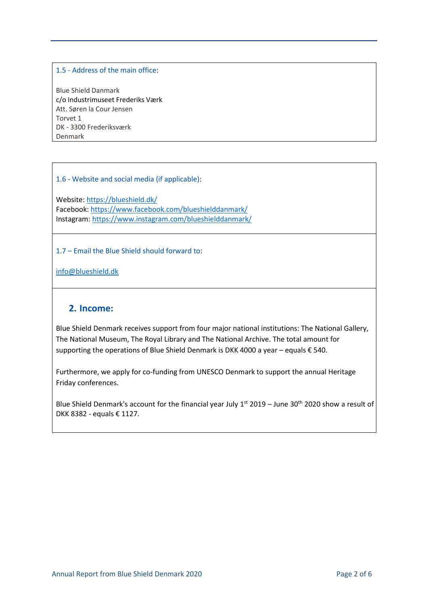#### 1.5 - Address of the main office:

Blue Shield Danmark c/o Industrimuseet Frederiks Værk Att. Søren la Cour Jensen Torvet 1 DK - 3300 Frederiksværk Denmark

1.6 - Website and social media (if applicable):

Website:<https://blueshield.dk/> Facebook:<https://www.facebook.com/blueshielddanmark/> Instagram:<https://www.instagram.com/blueshielddanmark/>

1.7 – Email the Blue Shield should forward to:

info@blueshield.dk

### **2. Income:**

Blue Shield Denmark receives support from four major national institutions: The National Gallery, The National Museum, The Royal Library and The National Archive. The total amount for supporting the operations of Blue Shield Denmark is DKK 4000 a year – equals  $\epsilon$  540.

Furthermore, we apply for co-funding from UNESCO Denmark to support the annual Heritage Friday conferences.

Blue Shield Denmark's account for the financial year July  $1^{st}$  2019 – June 30<sup>th</sup> 2020 show a result of DKK 8382 - equals € 1127.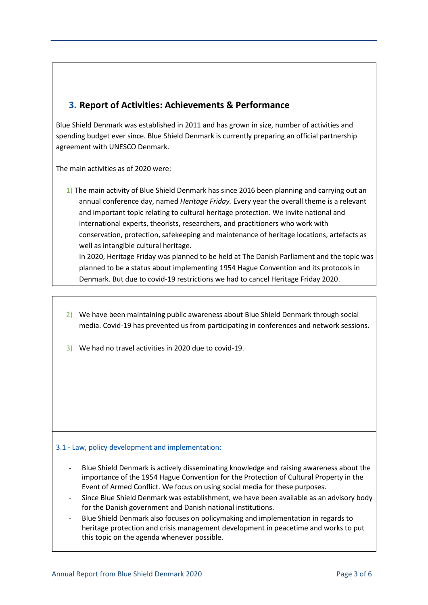## **3. Report of Activities: Achievements & Performance**

Blue Shield Denmark was established in 2011 and has grown in size, number of activities and spending budget ever since. Blue Shield Denmark is currently preparing an official partnership agreement with UNESCO Denmark.

The main activities as of 2020 were:

1) The main activity of Blue Shield Denmark has since 2016 been planning and carrying out an annual conference day, named *Heritage Friday.* Every year the overall theme is a relevant and important topic relating to cultural heritage protection. We invite national and international experts, theorists, researchers, and practitioners who work with conservation, protection, safekeeping and maintenance of heritage locations, artefacts as well as intangible cultural heritage.

In 2020, Heritage Friday was planned to be held at The Danish Parliament and the topic was planned to be a status about implementing 1954 Hague Convention and its protocols in Denmark. But due to covid-19 restrictions we had to cancel Heritage Friday 2020.

- 2) We have been maintaining public awareness about Blue Shield Denmark through social media. Covid-19 has prevented us from participating in conferences and network sessions.
- 3) We had no travel activities in 2020 due to covid-19.

#### 3.1 - Law, policy development and implementation:

- Blue Shield Denmark is actively disseminating knowledge and raising awareness about the importance of the 1954 Hague Convention for the Protection of Cultural Property in the Event of Armed Conflict. We focus on using social media for these purposes.
- Since Blue Shield Denmark was establishment, we have been available as an advisory body for the Danish government and Danish national institutions.
- Blue Shield Denmark also focuses on policymaking and implementation in regards to heritage protection and crisis management development in peacetime and works to put this topic on the agenda whenever possible.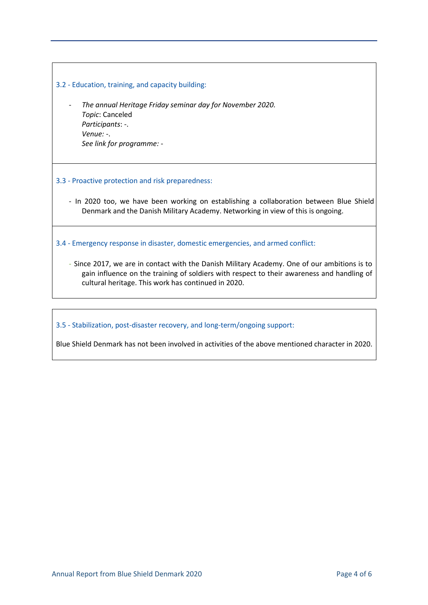| 3.2 - Education, training, and capacity building:                                                                                                                                                                                                 |
|---------------------------------------------------------------------------------------------------------------------------------------------------------------------------------------------------------------------------------------------------|
| The annual Heritage Friday seminar day for November 2020.<br>Topic: Canceled<br>Participants: -.<br>Venue: $-$ .<br>See link for programme: -                                                                                                     |
| 3.3 - Proactive protection and risk preparedness:                                                                                                                                                                                                 |
| - In 2020 too, we have been working on establishing a collaboration between Blue Shield<br>Denmark and the Danish Military Academy. Networking in view of this is ongoing.                                                                        |
| 3.4 - Emergency response in disaster, domestic emergencies, and armed conflict:                                                                                                                                                                   |
| - Since 2017, we are in contact with the Danish Military Academy. One of our ambitions is to<br>gain influence on the training of soldiers with respect to their awareness and handling of<br>cultural heritage. This work has continued in 2020. |

3.5 - Stabilization, post-disaster recovery, and long-term/ongoing support:

Blue Shield Denmark has not been involved in activities of the above mentioned character in 2020.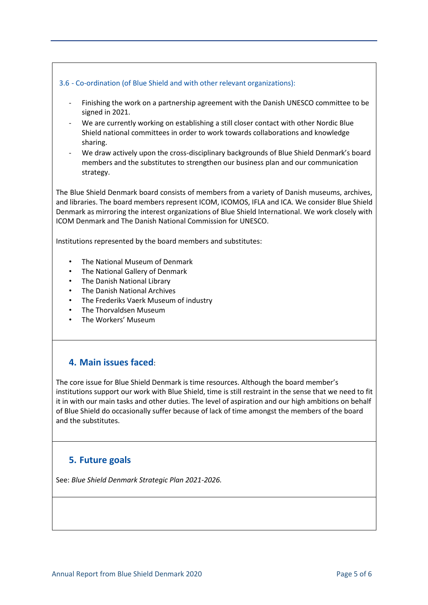#### 3.6 - Co-ordination (of Blue Shield and with other relevant organizations):

- Finishing the work on a partnership agreement with the Danish UNESCO committee to be signed in 2021.
- We are currently working on establishing a still closer contact with other Nordic Blue Shield national committees in order to work towards collaborations and knowledge sharing.
- We draw actively upon the cross-disciplinary backgrounds of Blue Shield Denmark's board members and the substitutes to strengthen our business plan and our communication strategy.

The Blue Shield Denmark board consists of members from a variety of Danish museums, archives, and libraries. The board members represent ICOM, ICOMOS, IFLA and ICA. We consider Blue Shield Denmark as mirroring the interest organizations of Blue Shield International. We work closely with ICOM Denmark and The Danish National Commission for UNESCO.

Institutions represented by the board members and substitutes:

- The National Museum of Denmark
- The National Gallery of Denmark
- The Danish National Library
- The Danish National Archives
- The Frederiks Vaerk Museum of industry
- The Thorvaldsen Museum
- The Workers' Museum

### **4. Main issues faced**:

The core issue for Blue Shield Denmark is time resources. Although the board member's institutions support our work with Blue Shield, time is still restraint in the sense that we need to fit it in with our main tasks and other duties. The level of aspiration and our high ambitions on behalf of Blue Shield do occasionally suffer because of lack of time amongst the members of the board and the substitutes.

### **5. Future goals**

See: *Blue Shield Denmark Strategic Plan 2021-2026.*